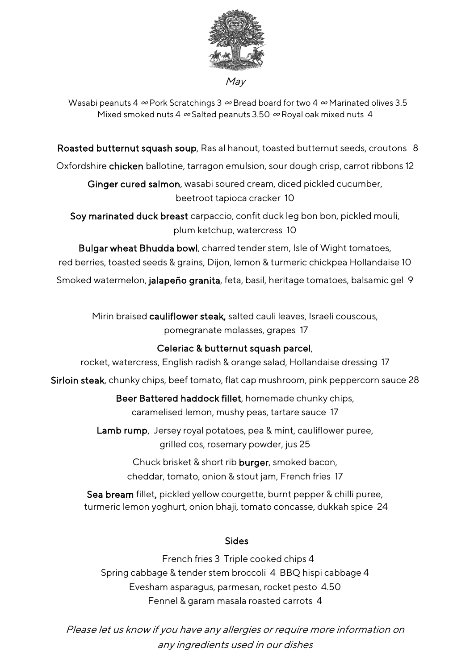

Wasabi peanuts 4  $\infty$  Pork Scratchings 3  $\infty$  Bread board for two 4  $\infty$  Marinated olives 3.5 Mixed smoked nuts 4  $\infty$  Salted peanuts 3.50  $\infty$  Royal oak mixed nuts 4

Roasted butternut squash soup, Ras al hanout, toasted butternut seeds, croutons 8

Oxfordshire chicken ballotine, tarragon emulsion, sour dough crisp, carrot ribbons 12

Ginger cured salmon, wasabi soured cream, diced pickled cucumber, beetroot tapioca cracker 10

Soy marinated duck breast carpaccio, confit duck leg bon bon, pickled mouli, plum ketchup, watercress 10

Bulgar wheat Bhudda bowl, charred tender stem, Isle of Wight tomatoes, red berries, toasted seeds & grains, Dijon, lemon & turmeric chickpea Hollandaise 10

Smoked watermelon, jalapeño granita, feta, basil, heritage tomatoes, balsamic gel 9

Mirin braised cauliflower steak, salted cauli leaves, Israeli couscous, pomegranate molasses, grapes 17

### Celeriac & butternut squash parcel,

rocket, watercress, English radish & orange salad, Hollandaise dressing 17

Sirloin steak, chunky chips, beef tomato, flat cap mushroom, pink peppercorn sauce 28

Beer Battered haddock fillet, homemade chunky chips, caramelised lemon, mushy peas, tartare sauce 17

Lamb rump, Jersey royal potatoes, pea & mint, cauliflower puree, grilled cos, rosemary powder, jus 25

> Chuck brisket & short rib burger, smoked bacon, cheddar, tomato, onion & stout jam, French fries 17

Sea bream fillet, pickled yellow courgette, burnt pepper & chilli puree, turmeric lemon yoghurt, onion bhaji, tomato concasse, dukkah spice 24

### **Sides** (1996) and the contract of the Sides (1996) and the Sides (1996) and the Sides (1997) and the Sides (1997)

 French fries 3 Triple cooked chips 4 Spring cabbage & tender stem broccoli 4 BBQ hispi cabbage 4 Evesham asparagus, parmesan, rocket pesto 4.50 Fennel & garam masala roasted carrots 4

Please let us know if you have any allergies or require more information on any ingredients used in our dishes